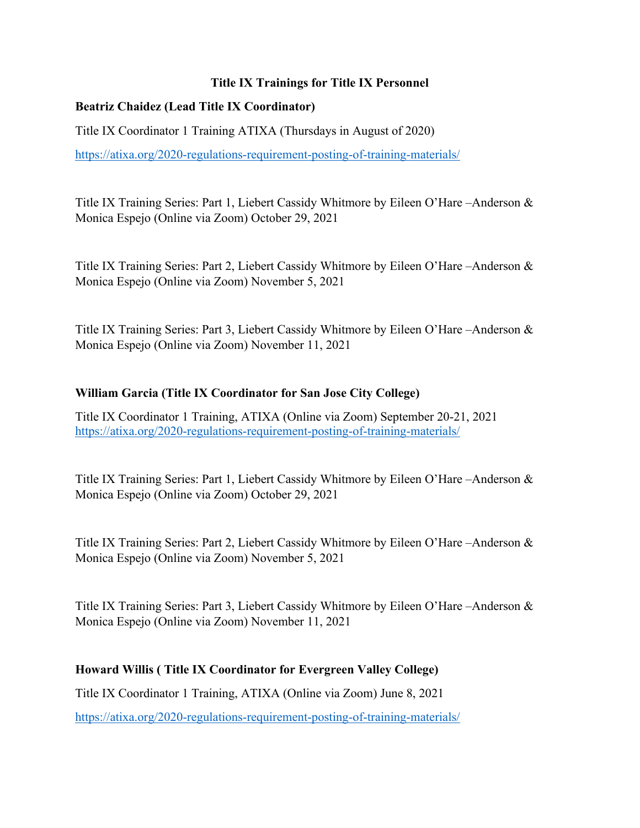# **Title IX Trainings for Title IX Personnel**

# **Beatriz Chaidez (Lead Title IX Coordinator)**

Title IX Coordinator 1 Training ATIXA (Thursdays in August of 2020)

https://atixa.org/2020-regulations-requirement-posting-of-training-materials/

Title IX Training Series: Part 1, Liebert Cassidy Whitmore by Eileen O'Hare –Anderson & Monica Espejo (Online via Zoom) October 29, 2021

Title IX Training Series: Part 2, Liebert Cassidy Whitmore by Eileen O'Hare –Anderson & Monica Espejo (Online via Zoom) November 5, 2021

Title IX Training Series: Part 3, Liebert Cassidy Whitmore by Eileen O'Hare –Anderson & Monica Espejo (Online via Zoom) November 11, 2021

#### **William Garcia (Title IX Coordinator for San Jose City College)**

Title IX Coordinator 1 Training, ATIXA (Online via Zoom) September 20-21, 2021 https://atixa.org/2020-regulations-requirement-posting-of-training-materials/

Title IX Training Series: Part 1, Liebert Cassidy Whitmore by Eileen O'Hare –Anderson & Monica Espejo (Online via Zoom) October 29, 2021

Title IX Training Series: Part 2, Liebert Cassidy Whitmore by Eileen O'Hare –Anderson & Monica Espejo (Online via Zoom) November 5, 2021

Title IX Training Series: Part 3, Liebert Cassidy Whitmore by Eileen O'Hare –Anderson & Monica Espejo (Online via Zoom) November 11, 2021

# **Howard Willis ( Title IX Coordinator for Evergreen Valley College)**

Title IX Coordinator 1 Training, ATIXA (Online via Zoom) June 8, 2021

https://atixa.org/2020-regulations-requirement-posting-of-training-materials/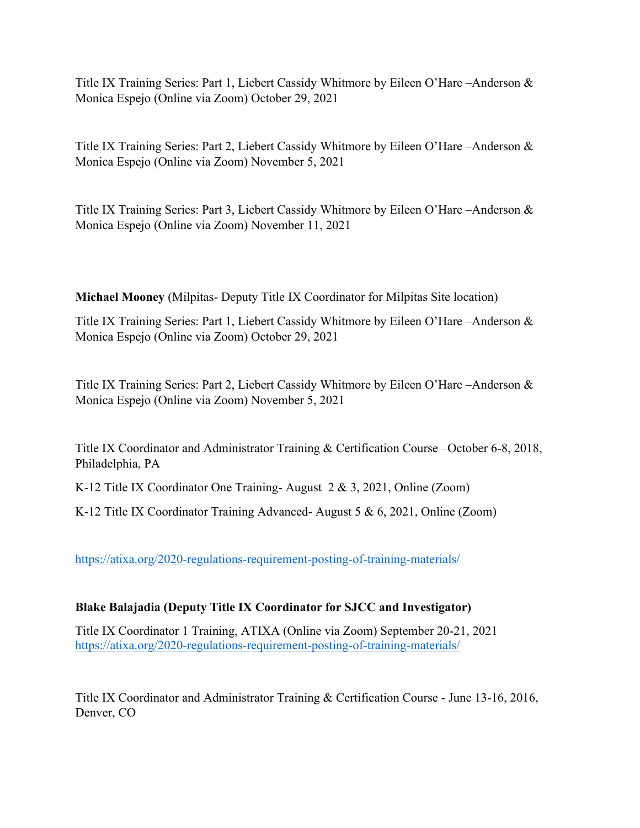Title IX Training Series: Part 1, Liebert Cassidy Whitmore by Eileen O'Hare –Anderson & Monica Espejo (Online via Zoom) October 29, 2021

Title IX Training Series: Part 2, Liebert Cassidy Whitmore by Eileen O'Hare –Anderson & Monica Espejo (Online via Zoom) November 5, 2021

Title IX Training Series: Part 3, Liebert Cassidy Whitmore by Eileen O'Hare –Anderson & Monica Espejo (Online via Zoom) November 11, 2021

**Michael Mooney** (Milpitas- Deputy Title IX Coordinator for Milpitas Site location)

Title IX Training Series: Part 1, Liebert Cassidy Whitmore by Eileen O'Hare –Anderson & Monica Espejo (Online via Zoom) October 29, 2021

Title IX Training Series: Part 2, Liebert Cassidy Whitmore by Eileen O'Hare –Anderson & Monica Espejo (Online via Zoom) November 5, 2021

Title IX Coordinator and Administrator Training & Certification Course –October 6-8, 2018, Philadelphia, PA

K-12 Title IX Coordinator One Training- August 2 & 3, 2021, Online (Zoom)

K-12 Title IX Coordinator Training Advanced- August 5 & 6, 2021, Online (Zoom)

https://atixa.org/2020-regulations-requirement-posting-of-training-materials/

# **Blake Balajadia (Deputy Title IX Coordinator for SJCC and Investigator)**

Title IX Coordinator 1 Training, ATIXA (Online via Zoom) September 20-21, 2021 https://atixa.org/2020-regulations-requirement-posting-of-training-materials/

Title IX Coordinator and Administrator Training & Certification Course - June 13-16, 2016, Denver, CO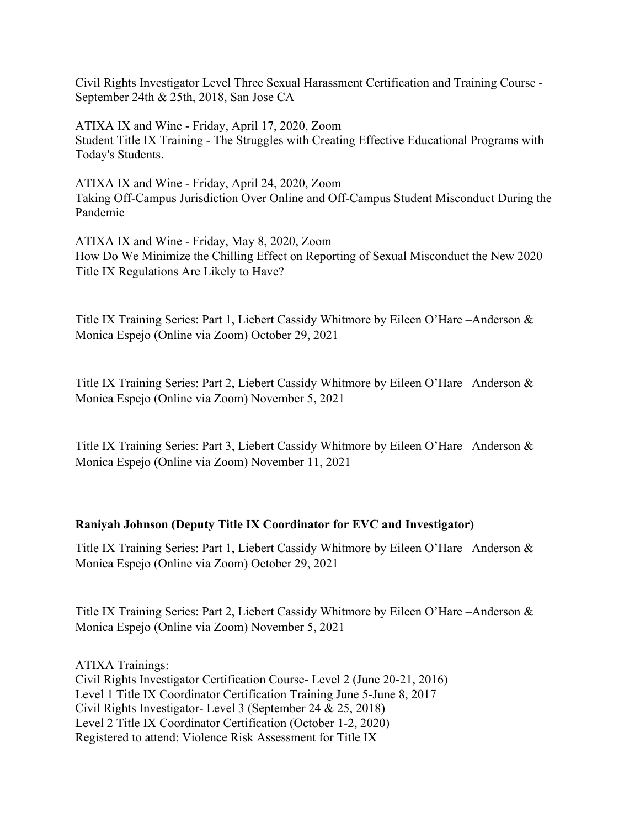Civil Rights Investigator Level Three Sexual Harassment Certification and Training Course - September 24th & 25th, 2018, San Jose CA

ATIXA IX and Wine - Friday, April 17, 2020, Zoom Student Title IX Training - The Struggles with Creating Effective Educational Programs with Today's Students.

ATIXA IX and Wine - Friday, April 24, 2020, Zoom Taking Off-Campus Jurisdiction Over Online and Off-Campus Student Misconduct During the Pandemic

ATIXA IX and Wine - Friday, May 8, 2020, Zoom How Do We Minimize the Chilling Effect on Reporting of Sexual Misconduct the New 2020 Title IX Regulations Are Likely to Have?

Title IX Training Series: Part 1, Liebert Cassidy Whitmore by Eileen O'Hare –Anderson & Monica Espejo (Online via Zoom) October 29, 2021

Title IX Training Series: Part 2, Liebert Cassidy Whitmore by Eileen O'Hare –Anderson & Monica Espejo (Online via Zoom) November 5, 2021

Title IX Training Series: Part 3, Liebert Cassidy Whitmore by Eileen O'Hare –Anderson & Monica Espejo (Online via Zoom) November 11, 2021

#### **Raniyah Johnson (Deputy Title IX Coordinator for EVC and Investigator)**

Title IX Training Series: Part 1, Liebert Cassidy Whitmore by Eileen O'Hare –Anderson & Monica Espejo (Online via Zoom) October 29, 2021

Title IX Training Series: Part 2, Liebert Cassidy Whitmore by Eileen O'Hare –Anderson & Monica Espejo (Online via Zoom) November 5, 2021

ATIXA Trainings: Civil Rights Investigator Certification Course- Level 2 (June 20-21, 2016) Level 1 Title IX Coordinator Certification Training June 5-June 8, 2017 Civil Rights Investigator- Level 3 (September 24 & 25, 2018) Level 2 Title IX Coordinator Certification (October 1-2, 2020) Registered to attend: Violence Risk Assessment for Title IX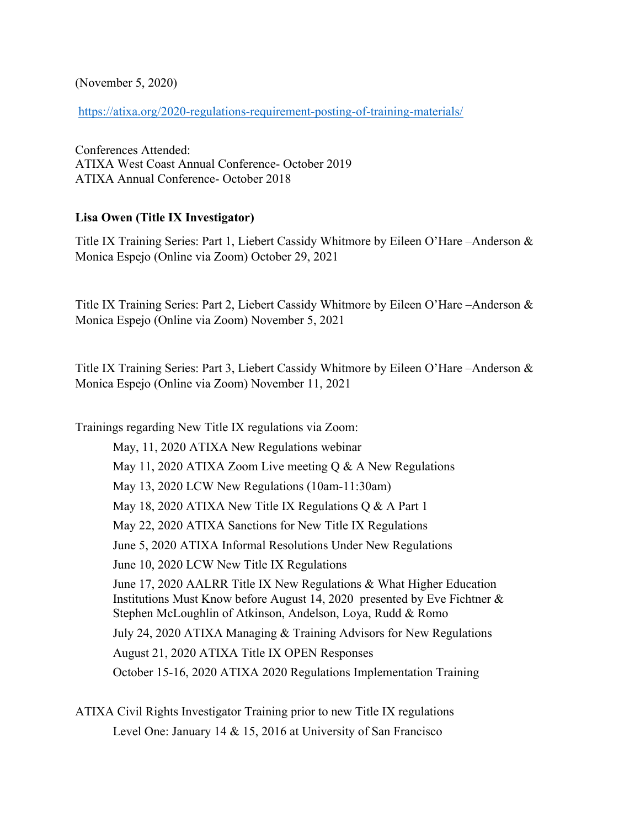(November 5, 2020)

https://atixa.org/2020-regulations-requirement-posting-of-training-materials/

Conferences Attended: ATIXA West Coast Annual Conference- October 2019 ATIXA Annual Conference- October 2018

# **Lisa Owen (Title IX Investigator)**

Title IX Training Series: Part 1, Liebert Cassidy Whitmore by Eileen O'Hare –Anderson & Monica Espejo (Online via Zoom) October 29, 2021

Title IX Training Series: Part 2, Liebert Cassidy Whitmore by Eileen O'Hare –Anderson & Monica Espejo (Online via Zoom) November 5, 2021

Title IX Training Series: Part 3, Liebert Cassidy Whitmore by Eileen O'Hare –Anderson & Monica Espejo (Online via Zoom) November 11, 2021

Trainings regarding New Title IX regulations via Zoom: May, 11, 2020 ATIXA New Regulations webinar May 11, 2020 ATIXA Zoom Live meeting  $\overline{O}$  & A New Regulations May 13, 2020 LCW New Regulations (10am-11:30am) May 18, 2020 ATIXA New Title IX Regulations Q & A Part 1 May 22, 2020 ATIXA Sanctions for New Title IX Regulations June 5, 2020 ATIXA Informal Resolutions Under New Regulations June 10, 2020 LCW New Title IX Regulations June 17, 2020 AALRR Title IX New Regulations & What Higher Education Institutions Must Know before August 14, 2020 presented by Eve Fichtner & Stephen McLoughlin of Atkinson, Andelson, Loya, Rudd & Romo July 24, 2020 ATIXA Managing & Training Advisors for New Regulations August 21, 2020 ATIXA Title IX OPEN Responses October 15-16, 2020 ATIXA 2020 Regulations Implementation Training

ATIXA Civil Rights Investigator Training prior to new Title IX regulations Level One: January 14 & 15, 2016 at University of San Francisco